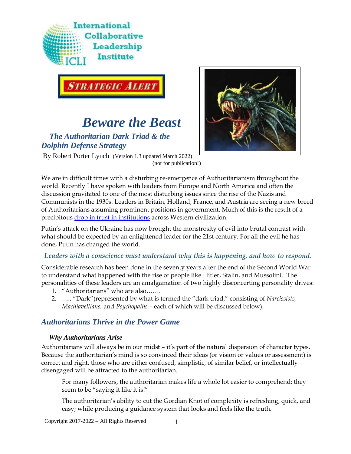



# *Beware the Beast*

# *The Authoritarian Dark Triad & the Dolphin Defense Strategy*



By Robert Porter Lynch (Version 1.3 updated March 2022) (not for publication!)

We are in difficult times with a disturbing re-emergence of Authoritarianism throughout the world. Recently I have spoken with leaders from Europe and North America and often the discussion gravitated to one of the most disturbing issues since the rise of the Nazis and Communists in the 1930s. Leaders in Britain, Holland, France, and Austria are seeing a new breed of Authoritarians assuming prominent positions in government. Much of this is the result of a precipitous [drop in trust in institutions](http://www.iclinstitute.org/wp-content/uploads/2017/04/Alert1-Trust-in-America.pdf) across Western civilization.

Putin's attack on the Ukraine has now brought the monstrosity of evil into brutal contrast with what should be expected by an enlightened leader for the 21st century. For all the evil he has done, Putin has changed the world.

#### *Leaders with a conscience must understand why this is happening, and how to respond.*

Considerable research has been done in the seventy years after the end of the Second World War to understand what happened with the rise of people like Hitler, Stalin, and Mussolini. The personalities of these leaders are an amalgamation of two highly disconcerting personality drives:

- 1. "Authoritarians" who are also…….
- 2. ….. "Dark"(represented by what is termed the "dark triad," consisting of *Narcissists, Machiavellians,* and *Psychopaths* – each of which will be discussed below).

# *Authoritarians Thrive in the Power Game*

#### *Why Authoritarians Arise*

Authoritarians will always be in our midst – it's part of the natural dispersion of character types. Because the authoritarian's mind is so convinced their ideas (or vision or values or assessment) is correct and right, those who are either confused, simplistic, of similar belief, or intellectually disengaged will be attracted to the authoritarian.

For many followers, the authoritarian makes life a whole lot easier to comprehend; they seem to be "saying it like it is!"

The authoritarian's ability to cut the Gordian Knot of complexity is refreshing, quick, and easy; while producing a guidance system that looks and feels like the truth.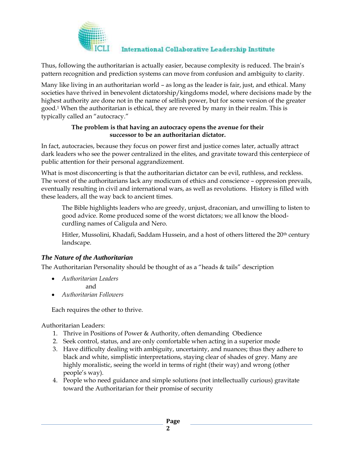

Thus, following the authoritarian is actually easier, because complexity is reduced. The brain's pattern recognition and prediction systems can move from confusion and ambiguity to clarity.

Many like living in an authoritarian world – as long as the leader is fair, just, and ethical. Many societies have thrived in benevolent dictatorship/kingdoms model, where decisions made by the highest authority are done not in the name of selfish power, but for some version of the greater good.<sup>1</sup> When the authoritarian is ethical, they are revered by many in their realm. This is typically called an "autocracy."

#### **The problem is that having an autocracy opens the avenue for their successor to be an authoritarian dictator.**

In fact, autocracies, because they focus on power first and justice comes later, actually attract dark leaders who see the power centralized in the elites, and gravitate toward this centerpiece of public attention for their personal aggrandizement.

What is most disconcerting is that the authoritarian dictator can be evil, ruthless, and reckless. The worst of the authoritarians lack any modicum of ethics and conscience – oppression prevails, eventually resulting in civil and international wars, as well as revolutions. History is filled with these leaders, all the way back to ancient times.

The Bible highlights leaders who are greedy, unjust, draconian, and unwilling to listen to good advice. Rome produced some of the worst dictators; we all know the bloodcurdling names of Caligula and Nero.

Hitler, Mussolini, Khadafi, Saddam Hussein, and a host of others littered the 20<sup>th</sup> century landscape.

#### *The Nature of the Authoritarian*

The Authoritarian Personality should be thought of as a "heads & tails" description

• *Authoritarian Leaders*

and

• *Authoritarian Followers*

Each requires the other to thrive.

Authoritarian Leaders:

- 1. Thrive in Positions of Power & Authority, often demanding Obedience
- 2. Seek control, status, and are only comfortable when acting in a superior mode
- 3. Have difficulty dealing with ambiguity, uncertainty, and nuances; thus they adhere to black and white, simplistic interpretations, staying clear of shades of grey. Many are highly moralistic, seeing the world in terms of right (their way) and wrong (other people's way).
- 4. People who need guidance and simple solutions (not intellectually curious) gravitate toward the Authoritarian for their promise of security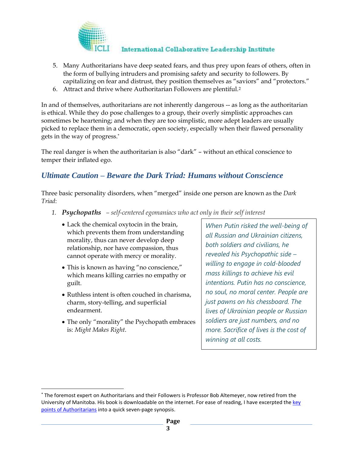

- 5. Many Authoritarians have deep seated fears, and thus prey upon fears of others, often in the form of bullying intruders and promising safety and security to followers. By capitalizing on fear and distrust, they position themselves as "saviors" and "protectors."
- 6. Attract and thrive where Authoritarian Followers are plentiful.<sup>2</sup>

In and of themselves, authoritarians are not inherently dangerous -- as long as the authoritarian is ethical. While they do pose challenges to a group, their overly simplistic approaches can sometimes be heartening; and when they are too simplistic, more adept leaders are usually picked to replace them in a democratic, open society, especially when their flawed personality gets in the way of progress.\*

The real danger is when the authoritarian is also "dark" – without an ethical conscience to temper their inflated ego.

# *Ultimate Caution – Beware the Dark Triad: Humans without Conscience*

Three basic personality disorders, when "merged" inside one person are known as the *Dark Triad*:

- *1. Psychopaths – self-centered egomaniacs who act only in their self interest*
	- Lack the chemical oxytocin in the brain, which prevents them from understanding morality, thus can never develop deep relationship, nor have compassion, thus cannot operate with mercy or morality.
	- This is known as having "no conscience," which means killing carries no empathy or guilt.
	- Ruthless intent is often couched in charisma, charm, story-telling, and superficial endearment.
	- The only "morality" the Psychopath embraces is: *Might Makes Right*.

*When Putin risked the well-being of all Russian and Ukrainian citizens, both soldiers and civilians, he revealed his Psychopathic side – willing to engage in cold-blooded mass killings to achieve his evil intentions. Putin has no conscience, no soul, no moral center. People are just pawns on his chessboard. The lives of Ukrainian people or Russian soldiers are just numbers, and no more. Sacrifice of lives is the cost of winning at all costs.*

<sup>\*</sup> The foremost expert on Authoritarians and their Followers is Professor Bob Altemeyer, now retired from the University of Manitoba. His book is downloadable on the internet. For ease of reading, I have excerpted th[e key](http://www.iclinstitute.com/The_Authoritarians_--_Short_Synopsis.pdf)  [points of Authoritarians](http://www.iclinstitute.com/The_Authoritarians_--_Short_Synopsis.pdf) into a quick seven-page synopsis.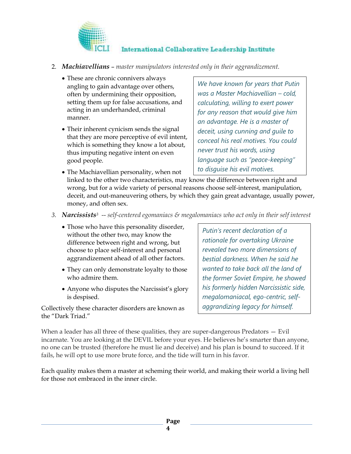

- 2. *Machiavellians master manipulators interested only in their aggrandizement*.
	- These are chronic connivers always angling to gain advantage over others, often by undermining their opposition, setting them up for false accusations, and acting in an underhanded, criminal manner.
	- Their inherent cynicism sends the signal that they are more perceptive of evil intent, which is something they know a lot about, thus imputing negative intent on even good people.

*We have known for years that Putin was a Master Machiavellian – cold, calculating, willing to exert power for any reason that would give him an advantage. He is a master of deceit, using cunning and guile to conceal his real motives. You could never trust his words, using language such as "peace-keeping" to disguise his evil motives.*

- The Machiavellian personality, when not linked to the other two characteristics, may know the difference between right and wrong, but for a wide variety of personal reasons choose self-interest, manipulation, deceit, and out-maneuvering others, by which they gain great advantage, usually power, money, and often sex.
- *3. Narcissists<sup>3</sup> -- self-centered egomaniacs & megalomaniacs who act only in their self interest*
	- Those who have this personality disorder, without the other two, may know the difference between right and wrong, but choose to place self-interest and personal aggrandizement ahead of all other factors.
	- They can only demonstrate loyalty to those who admire them.
	- Anyone who disputes the Narcissist's glory is despised.

Collectively these character disorders are known as the "Dark Triad."

*Putin's recent declaration of a rationale for overtaking Ukraine revealed two more dimensions of bestial darkness. When he said he wanted to take back all the land of the former Soviet Empire, he showed his formerly hidden Narcissistic side, megalomaniacal, ego-centric, selfaggrandizing legacy for himself.*

When a leader has all three of these qualities, they are super-dangerous Predators – Evil incarnate. You are looking at the DEVIL before your eyes. He believes he's smarter than anyone, no one can be trusted (therefore he must lie and deceive) and his plan is bound to succeed. If it fails, he will opt to use more brute force, and the tide will turn in his favor.

Each quality makes them a master at scheming their world, and making their world a living hell for those not embraced in the inner circle.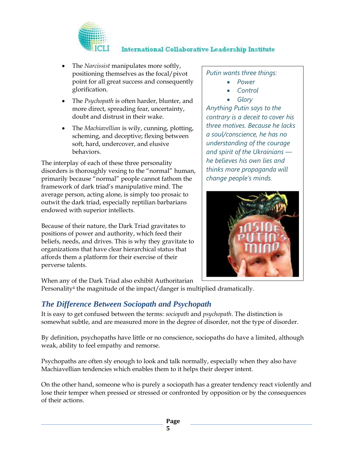

- The *Narcissist* manipulates more softly, positioning themselves as the focal/pivot point for all great success and consequently glorification.
- The *Psychopath* is often harder, blunter, and more direct, spreading fear, uncertainty, doubt and distrust in their wake.
- The *Machiavellian* is wily, cunning, plotting, scheming, and deceptive; flexing between soft, hard, undercover, and elusive behaviors.

The interplay of each of these three personality disorders is thoroughly vexing to the "normal" human, primarily because "normal" people cannot fathom the framework of dark triad's manipulative mind. The average person, acting alone, is simply too prosaic to outwit the dark triad, especially reptilian barbarians endowed with superior intellects.

Because of their nature, the Dark Triad gravitates to positions of power and authority, which feed their beliefs, needs, and drives. This is why they gravitate to organizations that have clear hierarchical status that affords them a platform for their exercise of their perverse talents.

When any of the Dark Triad also exhibit Authoritarian

Personality<sup>4</sup> the magnitude of the impact/danger is multiplied dramatically.

# *The Difference Between Sociopath and Psychopath*

It is easy to get confused between the terms: *sociopath* and *psychopath*. The distinction is somewhat subtle, and are measured more in the degree of disorder, not the type of disorder.

By definition, psychopaths have little or no conscience, sociopaths do have a limited, although weak, ability to feel empathy and remorse.

Psychopaths are often sly enough to look and talk normally, especially when they also have Machiavellian tendencies which enables them to it helps their deeper intent.

On the other hand, someone who is purely a sociopath has a greater tendency react violently and lose their temper when pressed or stressed or confronted by opposition or by the consequences of their actions.

#### *Putin wants three things:*

- *Power*
- *Control*
- *Glory*

*Anything Putin says to the contrary is a deceit to cover his three motives. Because he lacks a soul/conscience, he has no understanding of the courage and spirit of the Ukrainians he believes his own lies and thinks more propaganda will change people's minds.* 

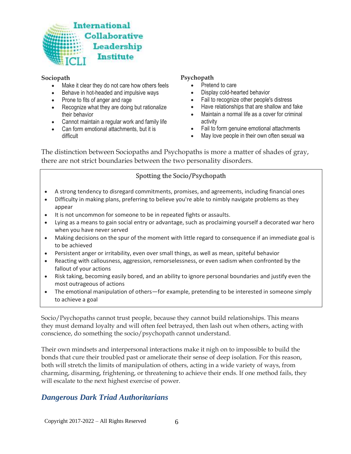

#### **Sociopath**

- Make it clear they do not care how others feels
- Behave in hot-headed and impulsive ways
- Prone to fits of anger and rage
- Recognize what they are doing but rationalize their behavior
- Cannot maintain a regular work and family life
- Can form emotional attachments, but it is difficult

#### **Psychopath**

- Pretend to care
- Display cold-hearted behavior
- Fail to recognize other people's distress
- Have relationships that are shallow and fake
- Maintain a normal life as a cover for criminal activity
- Fail to form genuine emotional attachments
- May love people in their own often sexual wa

The distinction between Sociopaths and Psychopaths is more a matter of shades of gray, there are not strict boundaries between the two personality disorders.

#### Spotting the Socio/Psychopath

- A strong tendency to disregard commitments, promises, and agreements, including financial ones
- Difficulty in making plans, preferring to believe you're able to nimbly navigate problems as they appear
- It is not uncommon for someone to be in repeated fights or assaults.
- Lying as a means to gain social entry or advantage, such as proclaiming yourself a decorated war hero when you have never served
- Making decisions on the spur of the moment with little regard to consequence if an immediate goal is to be achieved
- Persistent anger or irritability, even over small things, as well as mean, spiteful behavior
- Reacting with callousness, aggression, remorselessness, or even sadism when confronted by the fallout of your actions
- Risk taking, becoming easily bored, and an ability to ignore personal boundaries and justify even the most outrageous of actions
- The emotional manipulation of others—for example, pretending to be interested in someone simply to achieve a goal

Socio/Psychopaths cannot trust people, because they cannot build relationships. This means they must demand loyalty and will often feel betrayed, then lash out when others, acting with conscience, do something the socio/psychopath cannot understand.

Their own mindsets and interpersonal interactions make it nigh on to impossible to build the bonds that cure their troubled past or ameliorate their sense of deep isolation. For this reason, both will stretch the limits of manipulation of others, acting in a wide variety of ways, from charming, disarming, frightening, or threatening to achieve their ends. If one method fails, they will escalate to the next highest exercise of power.

# *Dangerous Dark Triad Authoritarians*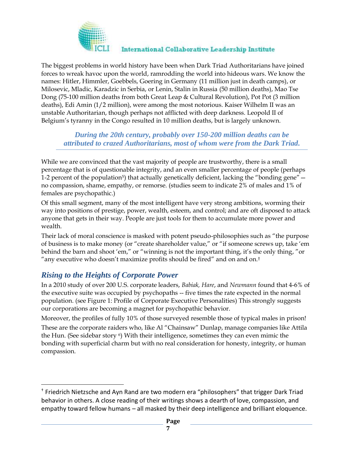

The biggest problems in world history have been when Dark Triad Authoritarians have joined forces to wreak havoc upon the world, ramrodding the world into hideous wars. We know the names: Hitler, Himmler, Goebbels, Goering in Germany (11 million just in death camps), or Milosevic, Mladic, Karadzic in Serbia, or Lenin, Stalin in Russia (50 million deaths), Mao Tse Dong (75-100 million deaths from both Great Leap & Cultural Revolution), Pot Pot (3 million deaths), Edi Amin (1/2 million), were among the most notorious. Kaiser Wilhelm II was an unstable Authoritarian, though perhaps not afflicted with deep darkness. Leopold II of Belgium's tyranny in the Congo resulted in 10 million deaths, but is largely unknown.

*During the 20th century, probably over 150-200 million deaths can be attributed to crazed Authoritarians, most of whom were from the Dark Triad.*

While we are convinced that the vast majority of people are trustworthy, there is a small percentage that is of questionable integrity, and an even smaller percentage of people (perhaps 1-2 percent of the population<sup>5</sup>) that actually genetically deficient, lacking the "bonding gene"  $$ no compassion, shame, empathy, or remorse. (studies seem to indicate 2% of males and 1% of females are psychopathic.)

Of this small segment, many of the most intelligent have very strong ambitions, worming their way into positions of prestige, power, wealth, esteem, and control; and are oft disposed to attack anyone that gets in their way. People are just tools for them to accumulate more power and wealth.

Their lack of moral conscience is masked with potent pseudo-philosophies such as "the purpose of business is to make money (or "create shareholder value," or "if someone screws up, take 'em behind the barn and shoot 'em," or "winning is not the important thing, it's the only thing, "or "any executive who doesn't maximize profits should be fired" and on and on.†

# *Rising to the Heights of Corporate Power*

In a 2010 study of over 200 U.S. corporate leaders, *Babiak, Hare*, and *Newmann* found that 4-6% of the executive suite was occupied by psychopaths -- five times the rate expected in the normal population. (see [Figure 1: Profile of Corporate Executive Personalities\)](#page-8-0) This strongly suggests our corporations are becoming a magnet for psychopathic behavior.

Moreover, the profiles of fully 10% of those surveyed resemble those of typical males in prison! These are the corporate raiders who, like Al "Chainsaw" Dunlap, manage companies like Attila the Hun. (See sidebar story 6) With their intelligence, sometimes they can even mimic the bonding with superficial charm but with no real consideration for honesty, integrity, or human compassion.

<sup>†</sup> Friedrich Nietzsche and Ayn Rand are two modern era "philosophers" that trigger Dark Triad behavior in others. A close reading of their writings shows a dearth of love, compassion, and empathy toward fellow humans – all masked by their deep intelligence and brilliant eloquence.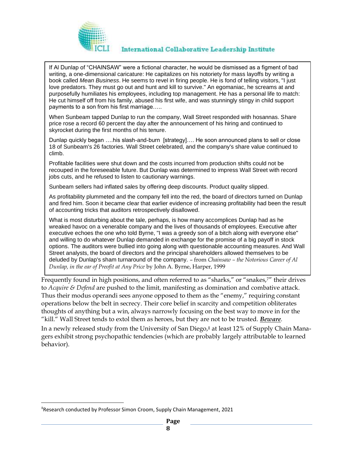

If Al Dunlap of "CHAINSAW" were a fictional character, he would be dismissed as a figment of bad writing, a one-dimensional caricature: He capitalizes on his notoriety for mass layoffs by writing a book called *Mean Business*. He seems to revel in firing people. He is fond of telling visitors, "I just love predators. They must go out and hunt and kill to survive." An egomaniac, he screams at and purposefully humiliates his employees, including top management. He has a personal life to match: He cut himself off from his family, abused his first wife, and was stunningly stingy in child support payments to a son from his first marriage…..

When Sunbeam tapped Dunlap to run the company, Wall Street responded with hosannas. Share price rose a record 60 percent the day after the announcement of his hiring and continued to skyrocket during the first months of his tenure.

Dunlap quickly began ….his slash-and-burn [strategy]…. He soon announced plans to sell or close 18 of Sunbeam's 26 factories. Wall Street celebrated, and the company's share value continued to climb.

Profitable facilities were shut down and the costs incurred from production shifts could not be recouped in the foreseeable future. But Dunlap was determined to impress Wall Street with record jobs cuts, and he refused to listen to cautionary warnings.

Sunbeam sellers had inflated sales by offering deep discounts. Product quality slipped.

As profitability plummeted and the company fell into the red, the board of directors turned on Dunlap and fired him. Soon it became clear that earlier evidence of increasing profitability had been the result of accounting tricks that auditors retrospectively disallowed.

What is most disturbing about the tale, perhaps, is how many accomplices Dunlap had as he wreaked havoc on a venerable company and the lives of thousands of employees. Executive after executive echoes the one who told Byrne, "I was a greedy son of a bitch along with everyone else" and willing to do whatever Dunlap demanded in exchange for the promise of a big payoff in stock options. The auditors were bullied into going along with questionable accounting measures. And Wall Street analysts, the board of directors and the principal shareholders allowed themselves to be deluded by Dunlap's sham turnaround of the company. – from *Chainsaw – the Notorious Career of Al Dunlap, in the ear of Preofit at Any Price* by John A. Byrne, Harper, 1999

Frequently found in high positions, and often referred to as "sharks," or "snakes,<sup>7"</sup> their drives to *Acquire & Defend* are pushed to the limit, manifesting as domination and combative attack. Thus their modus operandi sees anyone opposed to them as the "enemy," requiring constant operations below the belt in secrecy. Their core belief in scarcity and competition obliterates thoughts of anything but a win, always narrowly focusing on the best way to move in for the "kill." Wall Street tends to extol them as heroes, but they are not to be trusted. *Beware.*

In a newly released study from the University of San Diego,‡ at least 12% of Supply Chain Managers exhibit strong psychopathic tendencies (which are probably largely attributable to learned behavior).

<sup>‡</sup>Research conducted by Professor Simon Croom, Supply Chain Management, 2021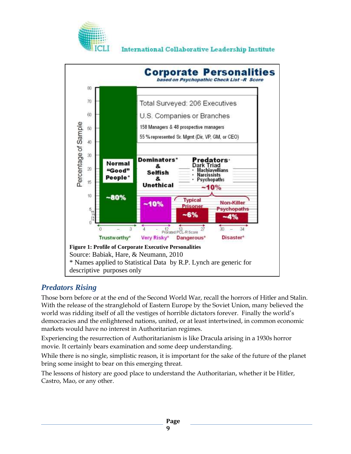



# <span id="page-8-0"></span>*Predators Rising*

Those born before or at the end of the Second World War, recall the horrors of Hitler and Stalin. With the release of the stranglehold of Eastern Europe by the Soviet Union, many believed the world was ridding itself of all the vestiges of horrible dictators forever. Finally the world's democracies and the enlightened nations, united, or at least intertwined, in common economic markets would have no interest in Authoritarian regimes.

Experiencing the resurrection of Authoritarianism is like Dracula arising in a 1930s horror movie. It certainly bears examination and some deep understanding.

While there is no single, simplistic reason, it is important for the sake of the future of the planet bring some insight to bear on this emerging threat.

The lessons of history are good place to understand the Authoritarian, whether it be Hitler, Castro, Mao, or any other.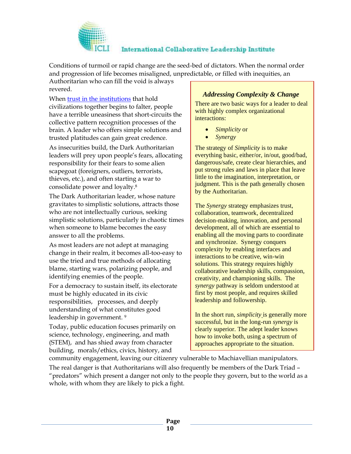

Conditions of turmoil or rapid change are the seed-bed of dictators. When the normal order and progression of life becomes misaligned, unpredictable, or filled with inequities, an Authoritarian who can fill the void is always

revered.

When [trust in the institutions](http://www.iclinstitute.org/wp-content/uploads/2017/04/Alert1-Trust-in-America.pdf) that hold civilizations together begins to falter, people have a terrible uneasiness that short-circuits the collective pattern recognition processes of the brain. A leader who offers simple solutions and trusted platitudes can gain great credence.

As insecurities build, the Dark Authoritarian leaders will prey upon people's fears, allocating responsibility for their fears to some alien scapegoat (foreigners, outliers, terrorists, thieves, etc.), and often starting a war to consolidate power and loyalty.<sup>8</sup>

The Dark Authoritarian leader, whose nature gravitates to simplistic solutions, attracts those who are not intellectually curious, seeking simplistic solutions, particularly in chaotic times when someone to blame becomes the easy answer to all the problems.

As most leaders are not adept at managing change in their realm, it becomes all-too-easy to use the tried and true methods of allocating blame, starting wars, polarizing people, and identifying enemies of the people.

For a democracy to sustain itself, its electorate must be highly educated in its civic responsibilities, processes, and deeply understanding of what constitutes good leadership in government. <sup>9</sup>

Today, public education focuses primarily on science, technology, engineering, and math (STEM), and has shied away from character building, morals/ethics, civics, history, and

#### *Addressing Complexity & Change*

There are two basic ways for a leader to deal with highly complex organizational interactions:

- *Simplicity* or
- *Synergy*

The strategy of *Simplicity* is to make everything basic, either/or, in/out, good/bad, dangerous/safe, create clear hierarchies, and put strong rules and laws in place that leave little to the imagination, interpretation, or judgment. This is the path generally chosen by the Authoritarian.

The *Synergy* strategy emphasizes trust, collaboration, teamwork, decentralized decision-making, innovation, and personal development, all of which are essential to enabling all the moving parts to coordinate and synchronize. Synergy conquers complexity by enabling interfaces and interactions to be creative, win-win solutions. This strategy requires highly collaborative leadership skills, compassion, creativity, and championing skills. The *synergy* pathway is seldom understood at first by most people, and requires skilled leadership and followership.

In the short run, *simplicity* is generally more successful, but in the long-run *synergy* is clearly superior. The adept leader knows how to invoke both, using a spectrum of approaches appropriate to the situation.

community engagement, leaving our citizenry vulnerable to Machiavellian manipulators. The real danger is that Authoritarians will also frequently be members of the Dark Triad – "predators" which present a danger not only to the people they govern, but to the world as a whole, with whom they are likely to pick a fight.

> **Page 10**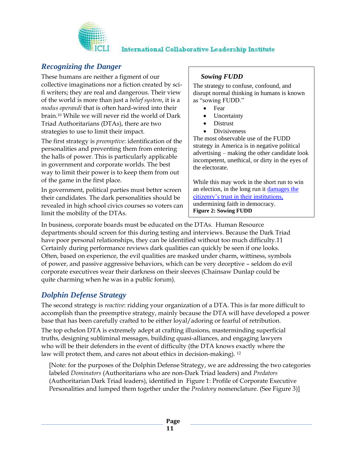

# *Recognizing the Danger*

These humans are neither a figment of our collective imaginations nor a fiction created by scifi writers; they are real and dangerous. Their view of the world is more than just a *belief system*, it is a *modus operandi* that is often hard-wired into their brain.<sup>10</sup> While we will never rid the world of Dark Triad Authoritarians (DTAs), there are two strategies to use to limit their impact.

The first strategy is *preemptive*: identification of the personalities and preventing them from entering the halls of power. This is particularly applicable in government and corporate worlds. The best way to limit their power is to keep them from out of the game in the first place.

In government, political parties must better screen their candidates. The dark personalities should be revealed in high school civics courses so voters can limit the mobility of the DTAs.

#### *Sowing FUDD*

The strategy to confuse, confound, and disrupt normal thinking in humans is known as "sowing FUDD."

- Fear
- **Uncertainty**
- Distrust
- **Divisiveness**

The most observable use of the FUDD strategy in America is in negative political advertising – making the other candidate look incompetent, unethical, or dirty in the eyes of the electorate.

<span id="page-10-0"></span>While this may work in the short run to win an election, in the long run it [damages the](http://www.iclinstitute.com/Alert1_Trust_in_America.pdf)  [citizenry's trust in their institutions,](http://www.iclinstitute.com/Alert1_Trust_in_America.pdf) undermining faith in democracy. **Figure 2: Sowing FUDD**

In business, corporate boards must be educated on the DTAs. Human Resource departments should screen for this during testing and interviews. Because the Dark Triad have poor personal relationships, they can be identified without too much difficulty.11 Certainly during performance reviews dark qualities can quickly be seen if one looks. Often, based on experience, the evil qualities are masked under charm, wittiness, symbols of power, and passive aggressive behaviors, which can be very deceptive – seldom do evil corporate executives wear their darkness on their sleeves (Chainsaw Dunlap could be quite charming when he was in a public forum).

# *Dolphin Defense Strategy*

The second strategy is *reactive*: ridding your organization of a DTA. This is far more difficult to accomplish than the preemptive strategy, mainly because the DTA will have developed a power base that has been carefully crafted to be either loyal/adoring or fearful of retribution.

The top echelon DTA is extremely adept at crafting illusions, masterminding superficial truths, designing subliminal messages, building quasi-alliances, and engaging lawyers who will be their defenders in the event of difficulty (the DTA knows exactly where the law will protect them, and cares not about ethics in decision-making). <sup>12</sup>

[Note: for the purposes of the Dolphin Defense Strategy, we are addressing the two categories labeled *Dominators* (Authoritarians who are non-Dark Triad leaders) and *Predators* (Authoritarian Dark Triad leaders), identified in [Figure 1: Profile of Corporate Executive](#page-8-0)  [Personalities](#page-8-0) and lumped them together under the *Predatory* nomenclature. (See [Figure 3\)](#page-11-0)]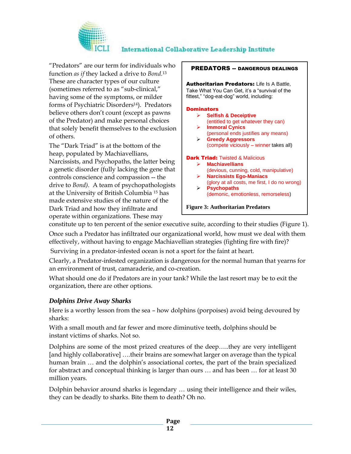

"Predators" are our term for individuals who function *as if* they lacked a drive to *Bond.*<sup>13</sup> These are character types of our culture (sometimes referred to as "sub-clinical," having some of the symptoms, or milder forms of Psychiatric Disorders<sup>14</sup>). Predators believe others don't count (except as pawns of the Predator) and make personal choices that solely benefit themselves to the exclusion of others.

The "Dark Triad" is at the bottom of the heap, populated by Machiavellians, Narcissists, and Psychopaths, the latter being a genetic disorder (fully lacking the gene that controls conscience and compassion -- the drive to *Bond)*. A team of psychopathologists at the University of British Columbia <sup>15</sup> has made extensive studies of the nature of the Dark Triad and how they infiltrate and operate within organizations. These may

#### PREDATORS -- DANGEROUS DEALINGS

Authoritarian Predators: Life Is A Battle, Take What You Can Get, it's a "survival of the fittest," "dog-eat-dog" world, including:

#### **Dominators**

- ➢ **Selfish & Deceiptive** (entitled to get whatever they can)
- ➢ **Immoral Cynics**
- (personal ends justifies any means) ➢ **Greedy Aggressors** (compete viciously – winner takes all)

#### **Dark Triad: Twisted & Malicious**

- ➢ **Machiavellians**
- (devious, cunning, cold, manipulative)
- ➢ **Narcissists Ego-Maniacs** (glory at all costs, me first, I do no wrong)
- ➢ **Psychopaths** (demonic, emotionless, remorseless)

<span id="page-11-0"></span>**Figure 3: Authoritarian Predators**

constitute up to ten percent of the senior executive suite, according to their studies [\(Figure 1\)](#page-8-0).

Once such a Predator has infiltrated our organizational world, how must we deal with them effectively, without having to engage Machiavellian strategies (fighting fire with fire)?

Surviving in a predator-infested ocean is not a sport for the faint at heart.

Clearly, a Predator-infested organization is dangerous for the normal human that yearns for an environment of trust, camaraderie, and co-creation.

What should one do if Predators are in your tank? While the last resort may be to exit the organization, there are other options.

#### *Dolphins Drive Away Sharks*

Here is a worthy lesson from the sea – how dolphins (porpoises) avoid being devoured by sharks:

With a small mouth and far fewer and more diminutive teeth, dolphins should be instant victims of sharks. Not so.

Dolphins are some of the most prized creatures of the deep…..they are very intelligent [and highly collaborative] ….their brains are somewhat larger on average than the typical human brain … and the dolphin's associational cortex, the part of the brain specialized for abstract and conceptual thinking is larger than ours … and has been … for at least 30 million years.

Dolphin behavior around sharks is legendary … using their intelligence and their wiles, they can be deadly to sharks. Bite them to death? Oh no.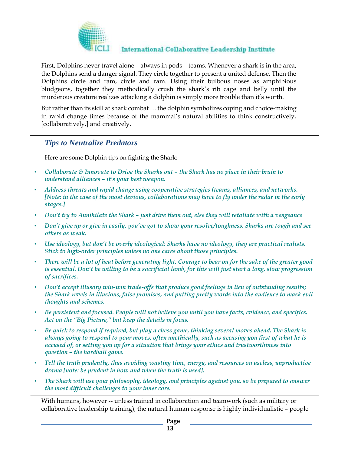

First, Dolphins never travel alone – always in pods – teams. Whenever a shark is in the area, the Dolphins send a danger signal. They circle together to present a united defense. Then the Dolphins circle and ram, circle and ram. Using their bulbous noses as amphibious bludgeons, together they methodically crush the shark's rib cage and belly until the murderous creature realizes attacking a dolphin is simply more trouble than it's worth.

But rather than its skill at shark combat … the dolphin symbolizes coping and choice-making in rapid change times because of the mammal's natural abilities to think constructively, [collaboratively,] and creatively.

#### *Tips to Neutralize Predators*

Here are some Dolphin tips on fighting the Shark:

- Collaborate & Innovate to Drive the Sharks out the Shark has no place in their brain to *understand alliances – it's your best weapon.*
- *Address threats and rapid change using cooperative strategies (teams, alliances, and networks. [Note: in the case of the most devious, collaborations may have to fly under the radar in the early stages.]*
- *Don't try to Annihilate the Shark – just drive them out, else they will retaliate with a vengeance*
- *Don't give up or give in easily, you've got to show your resolve/toughness. Sharks are tough and see others as weak.*
- *Use ideology, but don't be overly ideological; Sharks have no ideology, they are practical realists. Stick to high-order principles unless no one cares about those principles.*
- *There will be a lot of heat before generating light. Courage to bear on for the sake of the greater good is essential. Don't be willing to be a sacrificial lamb, for this will just start a long, slow progression of sacrifices.*
- *Don't accept illusory win-win trade-offs that produce good feelings in lieu of outstanding results; the Shark revels in illusions, false promises, and putting pretty words into the audience to mask evil thoughts and schemes.*
- *Be persistent and focused. People will not believe you until you have facts, evidence, and specifics. Act on the "Big Picture," but keep the details in focus.*
- *Be quick to respond if required, but play a chess game, thinking several moves ahead. The Shark is always going to respond to your moves, often unethically, such as accusing you first of what he is accused of, or setting you up for a situation that brings your ethics and trustworthiness into question – the hardball game.*
- *Tell the truth prudently, thus avoiding wasting time, energy, and resources on useless, unproductive drama [note: be prudent in how and when the truth is used].*
- *The Shark will use your philosophy, ideology, and principles against you, so be prepared to answer the most difficult challenges to your inner core.*

With humans, however -- unless trained in collaboration and teamwork (such as military or collaborative leadership training), the natural human response is highly individualistic – people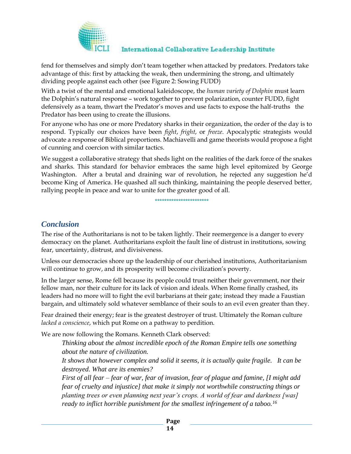

fend for themselves and simply don't team together when attacked by predators. Predators take advantage of this: first by attacking the weak, then undermining the strong, and ultimately dividing people against each other (see [Figure 2: Sowing FUDD\)](#page-10-0)

With a twist of the mental and emotional kaleidoscope, the *human variety of Dolphin* must learn the Dolphin's natural response – work together to prevent polarization, counter FUDD, fight defensively as a team, thwart the Predator's moves and use facts to expose the half-truths the Predator has been using to create the illusions.

For anyone who has one or more Predatory sharks in their organization, the order of the day is to respond. Typically our choices have been *fight*, *fright*, or *freeze*. Apocalyptic strategists would advocate a response of Biblical proportions. Machiavelli and game theorists would propose a fight of cunning and coercion with similar tactics.

We suggest a collaborative strategy that sheds light on the realities of the dark force of the snakes and sharks. This standard for behavior embraces the same high level epitomized by George Washington. After a brutal and draining war of revolution, he rejected any suggestion he'd become King of America. He quashed all such thinking, maintaining the people deserved better, rallying people in peace and war to unite for the greater good of all.

\*\*\*\*\*\*\*\*\*\*\*\*\*\*\*\*\*\*\*\*\*\*\*

*Conclusion*

The rise of the Authoritarians is not to be taken lightly. Their reemergence is a danger to every democracy on the planet. Authoritarians exploit the fault line of distrust in institutions, sowing fear, uncertainty, distrust, and divisiveness.

Unless our democracies shore up the leadership of our cherished institutions, Authoritarianism will continue to grow, and its prosperity will become civilization's poverty.

In the larger sense, Rome fell because its people could trust neither their government, nor their fellow man, nor their culture for its lack of vision and ideals. When Rome finally crashed, its leaders had no more will to fight the evil barbarians at their gate; instead they made a Faustian bargain, and ultimately sold whatever semblance of their souls to an evil even greater than they.

Fear drained their energy; fear is the greatest destroyer of trust. Ultimately the Roman culture *lacked a conscience*, which put Rome on a pathway to perdition.

We are now following the Romans. Kenneth Clark observed:

*Thinking about the almost incredible epoch of the Roman Empire tells one something about the nature of civilization.* 

*It shows that however complex and solid it seems, it is actually quite fragile. It can be destroyed. What are its enemies?*

*First of all fear – fear of war, fear of invasion, fear of plague and famine, [I might add fear of cruelty and injustice] that make it simply not worthwhile constructing things or planting trees or even planning next year's crops. A world of fear and darkness [was] ready to inflict horrible punishment for the smallest infringement of a taboo.16*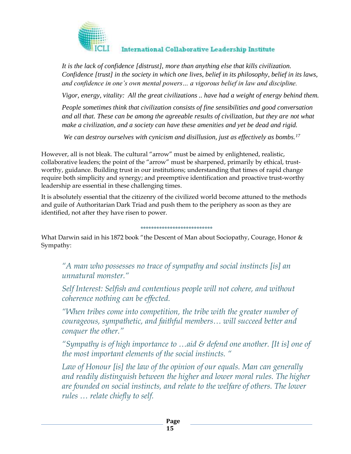

*It is the lack of confidence [distrust], more than anything else that kills civilization. Confidence [trust] in the society in which one lives, belief in its philosophy, belief in its laws, and confidence in one's own mental powers… a vigorous belief in law and discipline.* 

*Vigor, energy, vitality: All the great civilizations .. have had a weight of energy behind them.* 

*People sometimes think that civilization consists of fine sensibilities and good conversation and all that. These can be among the agreeable results of civilization, but they are not what make a civilization, and a society can have these amenities and yet be dead and rigid.*

*We can destroy ourselves with cynicism and disillusion, just as effectively as bombs.<sup>17</sup>*

However, all is not bleak. The cultural "arrow" must be aimed by enlightened, realistic, collaborative leaders; the point of the "arrow" must be sharpened, primarily by ethical, trustworthy, guidance. Building trust in our institutions; understanding that times of rapid change require both simplicity and synergy; and preemptive identification and proactive trust-worthy leadership are essential in these challenging times.

It is absolutely essential that the citizenry of the civilized world become attuned to the methods and guile of Authoritarian Dark Triad and push them to the periphery as soon as they are identified, not after they have risen to power.

#### \*\*\*\*\*\*\*\*\*\*\*\*\*\*\*\*\*\*\*\*\*\*\*\*\*\*\*

What Darwin said in his 1872 book "the Descent of Man about Sociopathy, Courage, Honor & Sympathy:

*"A man who possesses no trace of sympathy and social instincts [is] an unnatural monster."*

*Self Interest: Selfish and contentious people will not cohere, and without coherence nothing can be effected.*

*"When tribes come into competition, the tribe with the greater number of courageous, sympathetic, and faithful members… will succeed better and conquer the other."*

*"Sympathy is of high importance to …aid & defend one another. [It is] one of the most important elements of the social instincts. "*

*Law of Honour [is] the law of the opinion of our equals. Man can generally and readily distinguish between the higher and lower moral rules. The higher are founded on social instincts, and relate to the welfare of others. The lower rules ... relate chiefly to self.*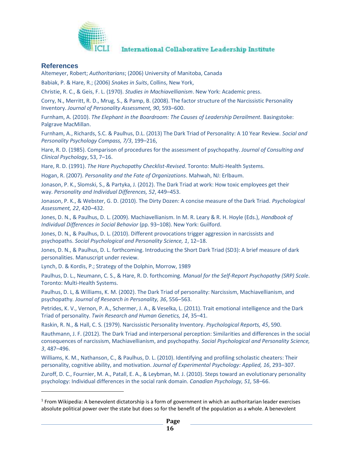

#### **References**

Altemeyer, Robert; *Authoritarians*; (2006) University of Manitoba, Canada

Babiak, P. & Hare, R.; (2006) *Snakes in Suits*, Collins, New York,

Christie, R. C., & Geis, F. L. (1970). *Studies in Machiavellianism*. New York: Academic press.

Corry, N., Merritt, R. D., Mrug, S., & Pamp, B. (2008). The factor structure of the Narcissistic Personality Inventory. *Journal of Personality Assessment, 90*, 593–600.

Furnham, A. (2010). *The Elephant in the Boardroom: The Causes of Leadership Derailment.* Basingstoke: Palgrave MacMillan.

Furnham, A., Richards, S.C. & Paulhus, D.L. (2013) The Dark Triad of Personality: A 10 Year Review. *Social and Personality Psychology Compass, 7/3*, 199–216,

Hare, R. D. (1985). Comparison of procedures for the assessment of psychopathy. *Journal of Consulting and Clinical Psychology*, 53, 7–16.

Hare, R. D. (1991). *The Hare Psychopathy Checklist-Revised*. Toronto: Multi-Health Systems.

Hogan, R. (2007). *Personality and the Fate of Organizations*. Mahwah, NJ: Erlbaum.

Jonason, P. K., Slomski, S., & Partyka, J. (2012). The Dark Triad at work: How toxic employees get their way. *Personality and Individual Differences, 52*, 449–453.

Jonason, P. K., & Webster, G. D. (2010). The Dirty Dozen: A concise measure of the Dark Triad. *Psychological Assessment, 22*, 420–432.

Jones, D. N., & Paulhus, D. L. (2009). Machiavellianism. In M. R. Leary & R. H. Hoyle (Eds.), *Handbook of Individual Differences in Social Behavior* (pp. 93–108). New York: Guilford.

Jones, D. N., & Paulhus, D. L. (2010). Different provocations trigger aggression in narcissists and psychopaths. *Social Psychological and Personality Science, 1*, 12–18.

Jones, D. N., & Paulhus, D. L. forthcoming. Introducing the Short Dark Triad (SD3): A brief measure of dark personalities. Manuscript under review.

Lynch, D. & Kordis, P.; Strategy of the Dolphin, Morrow, 1989

Paulhus, D. L., Neumann, C. S., & Hare, R. D. forthcoming. *Manual for the Self-Report Psychopathy (SRP) Scale*. Toronto: Multi-Health Systems.

Paulhus, D. L, & Williams, K. M. (2002). The Dark Triad of personality: Narcissism, Machiavellianism, and psychopathy*. Journal of Research in Personality, 36*, 556–563.

Petrides, K. V., Vernon, P. A., Schermer, J. A., & Veselka, L. (2011). Trait emotional intelligence and the Dark Triad of personality. *Twin Research and Human Genetics, 14*, 35–41.

Raskin, R. N., & Hall, C. S. (1979). Narcissistic Personality Inventory. *Psychological Reports, 45*, 590.

Rauthmann, J. F. (2012). The Dark Triad and interpersonal perception: Similarities and differences in the social consequences of narcissism, Machiavellianism, and psychopathy. *Social Psychological and Personality Science, 3*, 487–496.

Williams, K. M., Nathanson, C., & Paulhus, D. L. (2010). Identifying and profiling scholastic cheaters: Their personality, cognitive ability, and motivation. *Journal of Experimental Psychology: Applied, 16*, 293–307.

Zuroff, D. C., Fournier, M. A., Patall, E. A., & Leybman, M. J. (2010). Steps toward an evolutionary personality psychology: Individual differences in the social rank domain. *Canadian Psychology, 51,* 58–66.

<sup>&</sup>lt;sup>1</sup> From Wikipedia: A benevolent dictatorship is a form of [government](https://en.wikipedia.org/wiki/Government) in which an [authoritarian](https://en.wikipedia.org/wiki/Authoritarian) leader exercises absolute political power over the state but does so for the benefit of the population as a whole. A benevolent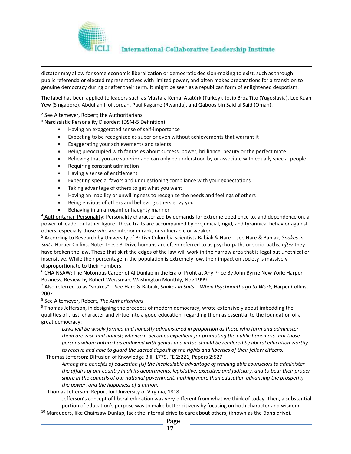

dictator may allow for some [economic liberalization](https://en.wikipedia.org/wiki/Economic_liberalization) or [democratic decision-making](https://en.wikipedia.org/wiki/Democratic_process) to exist, such as through public [referenda](https://en.wikipedia.org/wiki/Referendum) or elected representatives with limited power, and often makes preparations for a [transition to](https://en.wikipedia.org/wiki/Democratization)  [genuine democracy](https://en.wikipedia.org/wiki/Democratization) during or after their term. It might be seen as a republican form of [enlightened despotism.](https://en.wikipedia.org/wiki/Enlightened_despotism)

The label has been applied to leaders such as [Mustafa Kemal Atatürk](https://en.wikipedia.org/wiki/Mustafa_Kemal_Atat%C3%BCrk) [\(Turkey\)](https://en.wikipedia.org/wiki/Turkey), [Josip Broz Tito](https://en.wikipedia.org/wiki/Josip_Broz_Tito) [\(Yugoslavia\)](https://en.wikipedia.org/wiki/Yugoslavia), [Lee Kuan](https://en.wikipedia.org/wiki/Lee_Kuan_Yew)  [Yew](https://en.wikipedia.org/wiki/Lee_Kuan_Yew) [\(Singapore\)](https://en.wikipedia.org/wiki/Singapore), [Abdullah II of Jordan,](https://en.wikipedia.org/wiki/Abdullah_II_of_Jordan) [Paul Kagame](https://en.wikipedia.org/wiki/Paul_Kagame) [\(Rwanda\)](https://en.wikipedia.org/wiki/Rwanda), and [Qaboos bin Said al Said](https://en.wikipedia.org/wiki/Qaboos_bin_Said_al_Said) [\(Oman\)](https://en.wikipedia.org/wiki/Oman).

<sup>2</sup> See Altemeyer, Robert; the Authoritarians

<sup>3</sup> Narcissistic Personality Disorder: (DSM-5 Definition)

- Having an exaggerated sense of self-importance
- Expecting to be recognized as superior even without achievements that warrant it
- Exaggerating your achievements and talents
- Being preoccupied with fantasies about success, power, brilliance, beauty or the perfect mate
- Believing that you are superior and can only be understood by or associate with equally special people
- Requiring constant admiration
- Having a sense of entitlement
- Expecting special favors and unquestioning compliance with your expectations
- Taking advantage of others to get what you want
- Having an inability or unwillingness to recognize the needs and feelings of others
- Being envious of others and believing others envy you
- Behaving in an arrogant or haughty manner

<sup>4</sup> Authoritarian Personality: Personality characterized by demands for extreme obedience to, and dependence on, a powerful leader or father figure. These traits are accompanied by prejudicial, rigid, and tyrannical behavior against others, especially those who are inferior in rank, or vulnerable or weaker.

<sup>5</sup> According to Research by University of British Columbia scientists Babiak & Hare – see Hare & Babiak, *Snakes in Suits*, Harper Collins. Note: These 3-Drive humans are often referred to as psycho-paths or socio-paths, *after* they have broken the law. Those that skirt the edges of the law will work in the narrow area that is legal but unethical or insensitive. While their percentage in the population is extremely low, their impact on society is massively disproportionate to their numbers.

<sup>6</sup> CHAINSAW: The Notorious Career of Al Dunlap in the Era of Profit at Any Price By John Byrne New York: Harper Business, Review by Robert Weissman, Washington Monthly, Nov 1999

<sup>7</sup> Also referred to as "snakes" – See Hare & Babiak, *Snakes in Suits – When Psychopaths go to Work*, Harper Collins, 2007

8 See Altemeyer, Robert, *The Authoritarians*

<sup>9</sup> Thomas Jefferson, in designing the precepts of modern democracy, wrote extensively about imbedding the qualities of trust, character and virtue into a good education, regarding them as essential to the foundation of a great democracy:

*Laws will be wisely formed and honestly administered in proportion as those who form and administer them are wise and honest; whence it becomes expedient for promoting the public happiness that those persons whom nature has endowed with genius and virtue should be rendered by liberal education worthy to receive and able to guard the sacred deposit of the rights and liberties of their fellow citizens.*

-- Thomas Jefferson: Diffusion of Knowledge Bill, 1779. FE 2:221, Papers 2:527

*Among the benefits of education [is] the incalculable advantage of training able counselors to administer the affairs of our country in all its departments, legislative, executive and judiciary, and to bear their proper share in the councils of our national government: nothing more than education advancing the prosperity, the power, and the happiness of a nation.*

-- Thomas Jefferson: Report for University of Virginia, 1818

Jefferson's concept of liberal education was very different from what we think of today. Then, a substantial portion of education's purpose was to make better citizens by focusing on both character and wisdom. <sup>10</sup> Marauders, like Chainsaw Dunlap, lack the internal drive to care about others, (known as the *Bond* drive).

**Page**